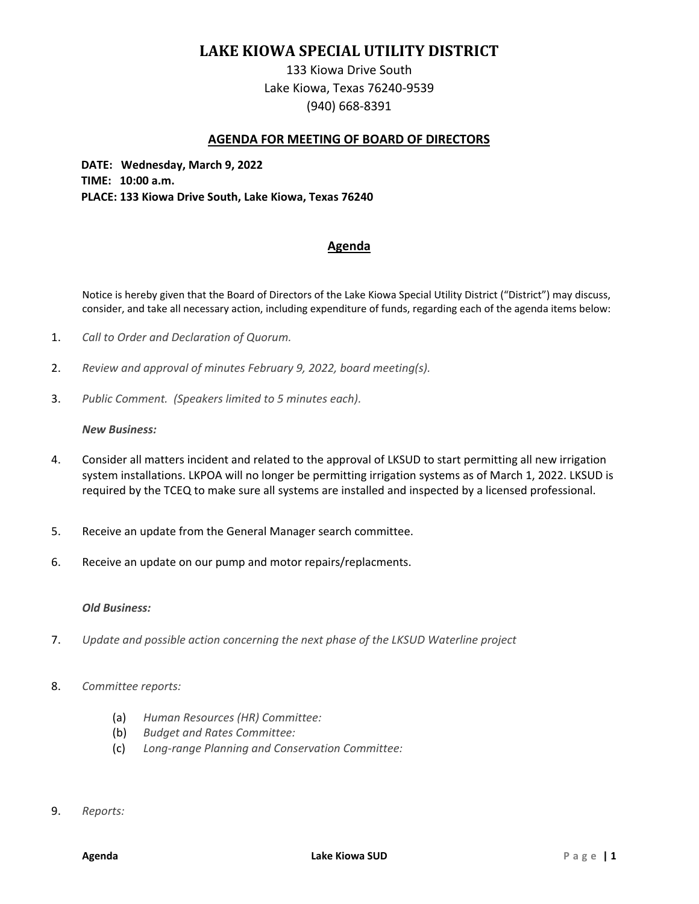# **LAKE KIOWA SPECIAL UTILITY DISTRICT**

133 Kiowa Drive South Lake Kiowa, Texas 76240-9539 (940) 668-8391

## **AGENDA FOR MEETING OF BOARD OF DIRECTORS**

**DATE: Wednesday, March 9, 2022 TIME: 10:00 a.m. PLACE: 133 Kiowa Drive South, Lake Kiowa, Texas 76240** 

# **Agenda**

Notice is hereby given that the Board of Directors of the Lake Kiowa Special Utility District ("District") may discuss, consider, and take all necessary action, including expenditure of funds, regarding each of the agenda items below:

- 1. *Call to Order and Declaration of Quorum.*
- 2. *Review and approval of minutes February 9, 2022, board meeting(s).*
- 3. *Public Comment. (Speakers limited to 5 minutes each).*

#### *New Business:*

- 4. Consider all matters incident and related to the approval of LKSUD to start permitting all new irrigation system installations. LKPOA will no longer be permitting irrigation systems as of March 1, 2022. LKSUD is required by the TCEQ to make sure all systems are installed and inspected by a licensed professional.
- 5. Receive an update from the General Manager search committee.
- 6. Receive an update on our pump and motor repairs/replacments.

## *Old Business:*

- 7. *Update and possible action concerning the next phase of the LKSUD Waterline project*
- 8. *Committee reports:* 
	- (a) *Human Resources (HR) Committee:*
	- (b) *Budget and Rates Committee:*
	- (c) *Long-range Planning and Conservation Committee:*
- 9. *Reports:*